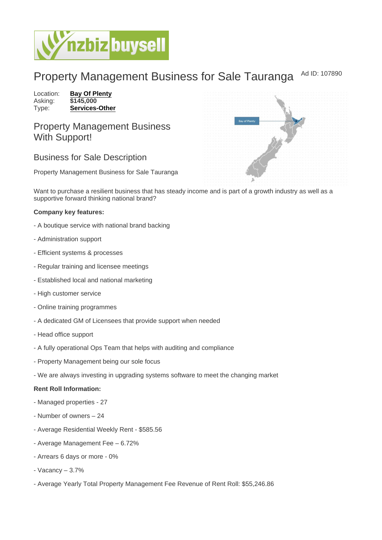## Property Management Business for Sale Tauranga Ad ID: 107890

Location: [Bay Of Plenty](https://www.nzbizbuysell.co.nz/businesses-for-sale/location/Bay-Of-Plenty) Asking: \$145,000<br>Type: Services-[Services-Other](https://www.nzbizbuysell.co.nz/businesses-for-sale/Services/New-Zealand)

Property Management Business With Support!

## Business for Sale Description

Property Management Business for Sale Tauranga

Want to purchase a resilient business that has steady income and is part of a growth industry as well as a supportive forward thinking national brand?

Company key features:

- A boutique service with national brand backing
- Administration support
- Efficient systems & processes
- Regular training and licensee meetings
- Established local and national marketing
- High customer service
- Online training programmes
- A dedicated GM of Licensees that provide support when needed
- Head office support
- A fully operational Ops Team that helps with auditing and compliance
- Property Management being our sole focus
- We are always investing in upgrading systems software to meet the changing market

Rent Roll Information:

- Managed properties 27
- Number of owners 24
- Average Residential Weekly Rent \$585.56
- Average Management Fee 6.72%
- Arrears 6 days or more 0%
- Vacancy 3.7%
- Average Yearly Total Property Management Fee Revenue of Rent Roll: \$55,246.86